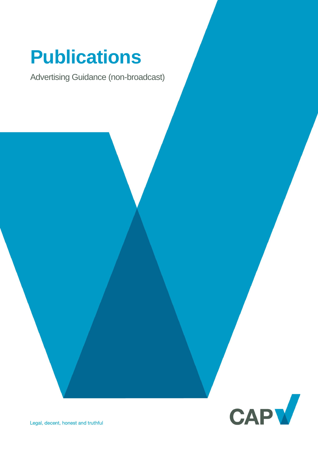# **Publications**

Advertising Guidance (non-broadcast)

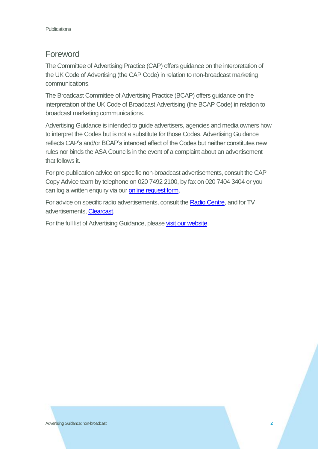### Foreword

The Committee of Advertising Practice (CAP) offers guidance on the interpretation of the UK Code of Advertising (the CAP Code) in relation to non-broadcast marketing communications.

The Broadcast Committee of Advertising Practice (BCAP) offers guidance on the interpretation of the UK Code of Broadcast Advertising (the BCAP Code) in relation to broadcast marketing communications.

Advertising Guidance is intended to guide advertisers, agencies and media owners how to interpret the Codes but is not a substitute for those Codes. Advertising Guidance reflects CAP's and/or BCAP's intended effect of the Codes but neither constitutes new rules nor binds the ASA Councils in the event of a complaint about an advertisement that follows it.

For pre-publication advice on specific non-broadcast advertisements, consult the CAP Copy Advice team by telephone on 020 7492 2100, by fax on 020 7404 3404 or you can log a written enquiry via our [online request form.](http://www.cap.org.uk/Advice-Training-on-the-rules/Bespoke-Copy-Advice.aspx)

For advice on specific radio advertisements, consult th[e Radio Centre,](http://www.racc.co.uk/) and for TV advertisements, [Clearcast.](http://www.clearcast.co.uk/)

For the full list of Advertising Guidance, please [visit our website.](http://www.cap.org.uk/Advice-Training-on-the-rules/Help-Notes.aspx)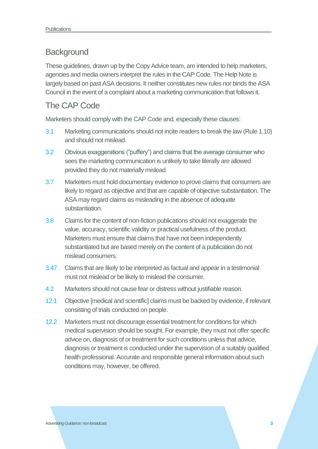## **Background**

These guidelines, drawn up by the Copy Advice team, are intended to help marketers, agencies and media owners interpret the rules in the CAP Code. The Help Note is largely based on past ASA decisions. It neither constitutes new rules nor binds the ASA Council in the event of a complaint about a marketing communication that follows it.

# The CAP Code

Marketers should comply with the CAP Code and, especially these clauses:

- 3.1 Marketing communications should not incite readers to break the law (Rule 1.10) and should not mislead.
- 3.2 Obvious exaggerations ("puffery") and claims that the average consumer who sees the marketing communication is unlikely to take literally are allowed provided they do not materially mislead.
- 3.7 Marketers must hold documentary evidence to prove claims that consumers are likely to regard as objective and that are capable of objective substantiation. The ASA may regard claims as misleading in the absence of adequate substantiation.
- 3.8 Claims for the content of non-fiction publications should not exaggerate the value, accuracy, scientific validity or practical usefulness of the product. Marketers must ensure that claims that have not been independently substantiated but are based merely on the content of a publication do not mislead consumers.
- 3.47 Claims that are likely to be interpreted as factual and appear in a testimonial must not mislead or be likely to mislead the consumer.
- 4.2 Marketers should not cause fear or distress without justifiable reason.
- 12.1 Objective [medical and scientific] claims must be backed by evidence, if relevant consisting of trials conducted on people.
- 12.2 Marketers must not discourage essential treatment for conditions for which medical supervision should be sought. For example, they must not offer specific advice on, diagnosis of or treatment for such conditions unless that advice, diagnosis or treatment is conducted under the supervision of a suitably qualified health professional. Accurate and responsible general information about such conditions may, however, be offered.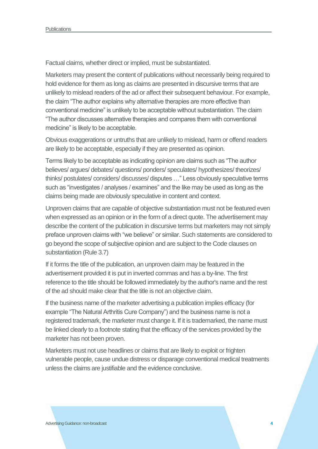Factual claims, whether direct or implied, must be substantiated.

Marketers may present the content of publications without necessarily being required to hold evidence for them as long as claims are presented in discursive terms that are unlikely to mislead readers of the ad or affect their subsequent behaviour. For example, the claim "The author explains why alternative therapies are more effective than conventional medicine" is unlikely to be acceptable without substantiation. The claim "The author discusses alternative therapies and compares them with conventional medicine" is likely to be acceptable.

Obvious exaggerations or untruths that are unlikely to mislead, harm or offend readers are likely to be acceptable, especially if they are presented as opinion.

Terms likely to be acceptable as indicating opinion are claims such as "The author believes/ argues/ debates/ questions/ ponders/ speculates/ hypothesizes/ theorizes/ thinks/ postulates/ considers/ discusses/ disputes …" Less obviously speculative terms such as "investigates / analyses / examines" and the like may be used as long as the claims being made are obviously speculative in content and context.

Unproven claims that are capable of objective substantiation must not be featured even when expressed as an opinion or in the form of a direct quote. The advertisement may describe the content of the publication in discursive terms but marketers may not simply preface unproven claims with "we believe" or similar. Such statements are considered to go beyond the scope of subjective opinion and are subject to the Code clauses on substantiation (Rule 3.7)

If it forms the title of the publication, an unproven claim may be featured in the advertisement provided it is put in inverted commas and has a by-line. The first reference to the title should be followed immediately by the author's name and the rest of the ad should make clear that the title is not an objective claim.

If the business name of the marketer advertising a publication implies efficacy (for example "The Natural Arthritis Cure Company") and the business name is not a registered trademark, the marketer must change it. If it is trademarked, the name must be linked clearly to a footnote stating that the efficacy of the services provided by the marketer has not been proven.

Marketers must not use headlines or claims that are likely to exploit or frighten vulnerable people, cause undue distress or disparage conventional medical treatments unless the claims are justifiable and the evidence conclusive.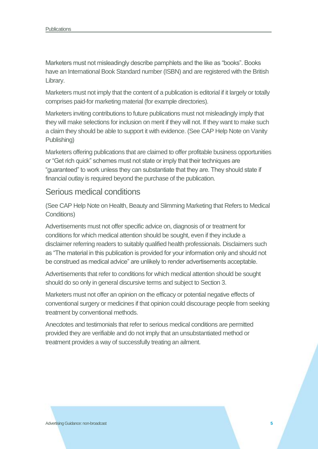Marketers must not misleadingly describe pamphlets and the like as "books". Books have an International Book Standard number (ISBN) and are registered with the British Library.

Marketers must not imply that the content of a publication is editorial if it largely or totally comprises paid-for marketing material (for example directories).

Marketers inviting contributions to future publications must not misleadingly imply that they will make selections for inclusion on merit if they will not. If they want to make such a claim they should be able to support it with evidence. (See CAP Help Note on Vanity Publishing)

Marketers offering publications that are claimed to offer profitable business opportunities or "Get rich quick" schemes must not state or imply that their techniques are "guaranteed" to work unless they can substantiate that they are. They should state if financial outlay is required beyond the purchase of the publication.

#### Serious medical conditions

(See CAP Help Note on Health, Beauty and Slimming Marketing that Refers to Medical Conditions)

Advertisements must not offer specific advice on, diagnosis of or treatment for conditions for which medical attention should be sought, even if they include a disclaimer referring readers to suitably qualified health professionals. Disclaimers such as "The material in this publication is provided for your information only and should not be construed as medical advice" are unlikely to render advertisements acceptable.

Advertisements that refer to conditions for which medical attention should be sought should do so only in general discursive terms and subject to Section 3.

Marketers must not offer an opinion on the efficacy or potential negative effects of conventional surgery or medicines if that opinion could discourage people from seeking treatment by conventional methods.

Anecdotes and testimonials that refer to serious medical conditions are permitted provided they are verifiable and do not imply that an unsubstantiated method or treatment provides a way of successfully treating an ailment.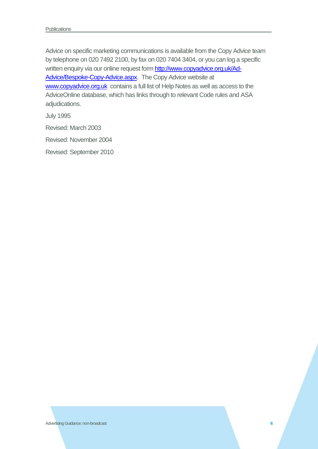Advice on specific marketing communications is available from the Copy Advice team by telephone on 020 7492 2100, by fax on 020 7404 3404, or you can log a specific written enquiry via our online request form [http://www.copyadvice.org.uk/Ad-](http://www.copyadvice.org.uk/Ad-Advice/Bespoke-Copy-Advice.aspx)[Advice/Bespoke-Copy-Advice.aspx.](http://www.copyadvice.org.uk/Ad-Advice/Bespoke-Copy-Advice.aspx) The Copy Advice website at [www.copyadvice.org.uk](http://www.copyadvice.org.uk/) contains a full list of Help Notes as well as access to the AdviceOnline database, which has links through to relevant Code rules and ASA adjudications.

July 1995

Revised: March 2003

Revised: November 2004

Revised: September 2010